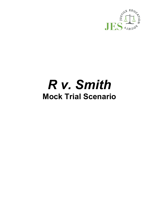

# *R v. Smith* **Mock Trial Scenario**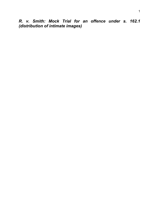*R. v. Smith: Mock Trial for an offence under s. 162.1 (distribution of intimate images)*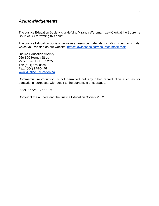# *Acknowledgements*

The Justice Education Society is grateful to Miranda Wardman, Law Clerk at the Supreme Court of BC for writing this script.

The Justice Education Society has several resource materials, including other mock trials, which you can find on our website:<https://lawlessons.ca/resources/mock-trials>

Justice Education Society 260-800 Hornby Street Vancouver, BC V6Z 2C5 Tel: (604) 660-9870 Fax: (604) 775-3476 [www.Justice Education.ca](http://www.justice/)

Commercial reproduction is not permitted but any other reproduction such as for educational purposes, with credit to the authors, is encouraged.

ISBN 0-7726 – 7487 – 6

Copyright the authors and the Justice Education Society 2022.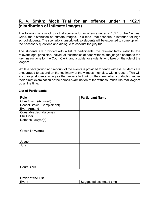# **R. v. Smith: Mock Trial for an offence under s. 162.1 (distribution of intimate images)**

The following is a mock jury trial scenario for an offence under s. 162.1 of the *Criminal Code*, the distribution of intimate images. This mock trial scenario is intended for high school students. The scenario is unscripted, so students will be expected to come up with the necessary questions and dialogue to conduct the jury trial.

The students are provided with a list of participants, the relevant facts, exhibits, the relevant legal principles, individual testimonies of each witness, the judge's charge to the jury, instructions for the Court Clerk, and a guide for students who take on the role of the lawyers.

While a background and recount of the events is provided for each witness, students are encouraged to expand on the testimony of the witness they play, within reason. This will encourage students acting as the lawyers to think on their feet when conducting either their direct examination or their cross-examination of the witness, much like real lawyers do all the time.

| <b>Role</b>                  | <b>Participant Name</b> |
|------------------------------|-------------------------|
| <b>Chris Smith (Accused)</b> |                         |
| Rachel Brown (Complainant)   |                         |
| Evan Armand                  |                         |
| Constable Jacinda Jones      |                         |
| <b>Phil Liber</b>            |                         |
| Defence Lawyer(s)            |                         |
|                              |                         |
|                              |                         |
| Crown Lawyer(s)              |                         |
|                              |                         |
|                              |                         |
| Judge                        |                         |
| Jury                         |                         |
|                              |                         |
|                              |                         |
|                              |                         |
|                              |                         |
|                              |                         |
| <b>Court Clerk</b>           |                         |

# **List of Participants**

| <b>Order of the Trial</b> |                          |
|---------------------------|--------------------------|
| Event                     | Suggested estimated time |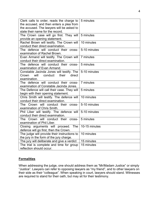| Clerk calls to order, reads the charge to<br>the accused, and then enters a plea from                    | 5 minutes     |
|----------------------------------------------------------------------------------------------------------|---------------|
| the accused. The lawyers will be asked to                                                                |               |
| state their name for the record.                                                                         |               |
| The Crown case will go first. They will<br>provide an opening statement.                                 | 5 minutes     |
| Rachel Brown will testify. The Crown will<br>conduct their direct examination.                           | 10 minutes    |
| The defence will conduct their cross-<br>examination of Rachel Brown.                                    | 5-10 minutes  |
| Evan Armand will testify. The Crown will<br>conduct their direct examination.                            | 7 minutes     |
| The defence will conduct their cross-<br>examination of Evan Armand.                                     | 5 minutes     |
| Constable Jacinda Jones will testify. The<br>will<br>conduct<br>their<br>direct<br>Crown<br>examination. | 5-10 minutes  |
| The defence will conduct their cross-<br>examination of Constable Jacinda Jones.                         | 7 minutes     |
| The Defence will call their case. They will<br>begin with their opening statement.                       | 5 minutes     |
| Chris Smith will testify. The defence will<br>conduct their direct examination.                          | 10 minutes    |
| The Crown will conduct their cross-<br>examination of Chris Smith.                                       | 5-10 minutes  |
| Phil Liber will testify. The defence will<br>conduct their direct examination.                           | 5-10 minutes  |
| The Crown will conduct their cross-<br>examination of Phil Liber.                                        | 5 minutes     |
| Closing arguments will proceed.<br>The<br>defence will go first, then the Crown.                         | 10-15 minutes |
| The judge will provide their instructions to<br>the jury in the form of the jury charge.                 | 10 minutes    |
| The jury will deliberate and give a verdict                                                              | 15 minutes    |
| The trial is complete and time for group<br>reflection should occur.                                     | 15 minutes    |

## **Formalities**

When addressing the judge, one should address them as "Mr/Madam Justice" or simply "Justice". Lawyers can refer to opposing lawyers as "my friend", and to other lawyers on their side as their "colleague". When speaking in court, lawyers should stand. Witnesses are required to stand for their oath, but may sit for their testimony.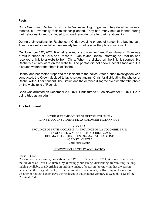#### **Facts**

Chris Smith and Rachel Brown go to Vankelver High together. They dated for several months, but eventually their relationship ended. They had many mutual friends during their relationship and continued to share these friends after their relationship.

During their relationship, Rachel sent Chris revealing photos of herself in a bathing suit. Their relationship ended approximately two months after the photos were sent.

On November 14th, 2021, Rachel received a text from her friend Evan Armand. Evan was a mutual friend of Chris and Rachel's. Evan texted Rachel informing her that he had received a link to a website from Chris. When he clicked on the link, it seemed like Rachel's pictures were on the website. The photos did not show Rachel's face and it is disputed whether the photo is of Rachel.

Rachel and her mother reported the incident to the police. After a brief investigation was conducted, the Crown decided to lay charges against Chris for distributing the photos of Rachel without her consent. The Crown and the defence disagree over whether the photo on the website is of Rachel.

Chris was arrested on December 20, 2021. Chris turned 18 on November 1, 2021. He is being tried as an adult.

#### **The Indictment**

#### IN THE SUPREME COURT OF BRITISH COLUMBIA DANS LA COUR SUPREME DE LA COLOMBIE-BRITANNIQUE

CANADA PROVINCE Of BRITISH COLUMBIA / PROVINCE DE LA COLOMBIE-BRIT: CITY OF CHILLIWACK / VILLE DE CHILLIWACK HER MAJESTY THE QUEEN / SA MAJESTE LA REINE AGAINST / CONTRE Chris James Smith

#### **INDICTMENT / ACTE D'ACCUSATION**

Count 1 / Chef 1

Christopher James Smith, on or about the 14<sup>th</sup> day of November, 2021, at or near Vankelver, in the Province of British Columbia, by knowingly publishing, distributing, transmitting, selling, making available or advertising an intimate image of a person (a) knowing that the person depicted in the image did not give their consent to that conduct, or (b) being reckless as to whether or not that person gave their consent to that conduct contrary to Section 162.1 of the Criminal Code.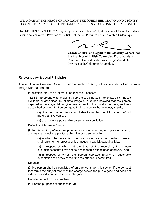#### AND AGAINST THE PEACE OF OUR LADY THE QUEEN HER CROWN AND DIGNITY. ET CONTRE LA PAIX DE NOTRE DAME LA REINE, SA COURONNE ET SA DIGNITÉ

DATED THIS / FAIT LE  $20^{th}$  day of / jour de December, 2021, at the City of Vankelver / dans la Ville de Vankelver, Province of British Columbia / Province de la Colombie-Britannique

**Crown Counsel and Agent of the Attorney General for the Province of British Columbia** / Procureur de la Couronne et substitute du Procureur général de la Province de la Colombie-Britannique

#### **Relevant Law & Legal Principles**

The applicable *Criminal Code* provision is section 162.1, publication, etc., of an intimate image without consent:

Publication, etc., of an intimate image without consent

**162.1 (1)** Everyone who knowingly publishes, distributes, transmits, sells, makes available or advertises an intimate image of a person knowing that the person depicted in the image did not give their consent to that conduct, or being reckless as to whether or not that person gave their consent to that conduct, is guilty

**(a)** of an indictable offence and liable to imprisonment for a term of not more than five years; or

**(b)** of an offence punishable on summary conviction.

#### Definition of *intimate image*

**(2)** In this section, *intimate image* means a visual recording of a person made by any means including a photographic, film or video recording,

**(a)** in which the person is nude, is exposing his or her genital organs or anal region or her breasts or is engaged in explicit sexual activity;

**(b)** in respect of which, at the time of the recording, there were circumstances that gave rise to a reasonable expectation of privacy; and

**(c)** in respect of which the person depicted retains a reasonable expectation of privacy at the time the offence is committed.

Defence

**(3)** No person shall be convicted of an offence under this section if the conduct that forms the subject-matter of the charge serves the public good and does not extend beyond what serves the public good.

Question of fact and law, motives

**(4)** For the purposes of subsection (3),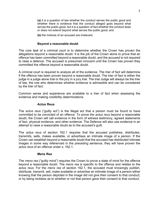**(a)** it is a question of law whether the conduct serves the public good and whether there is evidence that the conduct alleged goes beyond what serves the public good, but it is a question of fact whether the conduct does or does not extend beyond what serves the public good; and

**(b)** the motives of an accused are irrelevant.

#### **Beyond a reasonable doubt**

The core task of a criminal court is to determine whether the Crown has proven the allegations beyond a reasonable doubt. It is the job of the Crown alone to prove that an offence has been committed beyond a reasonable doubt, and the accused is not required to raise a defence. The accused is presumed innocent until the Crown has proven they committed the offence beyond a reasonable doubt.

A criminal court is required to analyze all of the evidence. The trier of fact will determine if the offence has been proven beyond a reasonable doubt. The trier of fact is either the judge in a judge alone trial or the jury in a jury trial. The trial Judge will always be the trier of law, the one who determines whether evidence is admissible and can be considered by the trier of fact.

Common sense and experience are available to a trier of fact when assessing the evidence and making credibility determinations.

#### **Actus Reus**

The *actus reus* ("guilty act") is the illegal act that a person must be found to have committed to be convicted of an offence. To prove the *actus reus* beyond a reasonable doubt, the Crown will call evidence in the form of witness testimony, agreed statements of fact, physical evidence, and other evidence. The Defence will also use evidence in an attempt to raise a reasonable doubt as to the accused's guilt.

The *actus reus* of section 162.1 requires that the accused publishes, distributes, transmits, sells, makes available, or advertises an intimate image of a person. If the Crown can establish beyond a reasonable doubt that the accused has distributed intimate images in some way referenced in the preceding sentence, they will have proven the *actus reus* of an offence under s. 162.1.

#### **Mens Rea**

The *mens rea* ("guilty mind") requires the Crown to prove a state of mind for the offence beyond a reasonable doubt. The *mens rea* is specific to the offence and relates to the *actus reus*. For the *mens rea* of section 162.1, the accused must knowingly publish, distribute, transmit, sell, make available or advertise an intimate image of a person either knowing that the person depicted in the image did not give their consent to that conduct, or by being reckless as to whether or not that person gave their consent to that conduct.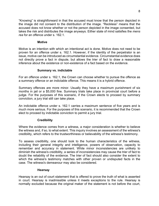"Knowing" is straightforward in that the accused must know that the person depicted in the image did not consent to the distribution of the image. "Reckless" means that the accused does not know whether or not the person depicted in the image consented, but takes the risk and distributes the image anyways. Either state of mind satisfies the *mens rea* for an offence under s. 162.1.

# **Motive**

Motive is an intention with which an intentional act is done. Motive does not need to be proven for an offence under s. 162.1. However, if the identity of the perpetrator is an issue, motive can be introduced as circumstantial evidence. Circumstantial evidence does not directly prove a fact in dispute, but allows the trier of fact to draw a reasonable inference about the existence or non-existence of a fact based on the evidence.

# **Summary vs. indictable**

For an offence under s. 162.1, the Crown can choose whether to pursue the offence as a summary offence or an indictable offence. This means it is a hybrid offence.

Summary offences are more minor. Usually they have a maximum punishment of six months in jail or a \$5,000 fine. Summary trials take place in provincial court before a judge. For the purposes of this scenario, if the Crown elects to proceed by summary conviction, a jury trial still can take place.

An indictable offence under s. 162.1 carries a maximum sentence of five years and is much more serious. For the purposes of this scenario, it is recommended that the Crown elect to proceed by indictable conviction to permit a jury trial.

# **Credibility**

Where the evidence comes from a witness, a major consideration is whether to believe the witness and, if so, to what extent. This inquiry involves an assessment of the witness's credibility, which refers to the trustworthiness or believability of the witness's testimony.

To assess credibility, one should look to the human characteristics of the witness, including their general integrity and intelligence, powers of observation, capacity to remember and accuracy in statement. While minor inconsistencies are unlikely to diminish the witness's credibility, a series of inconsistencies may cause the trier of fact to doubt the reliability of the evidence. The trier of fact should also consider the extent to which the witness's testimony matches with other proven or undisputed facts in the case. The witness's demeanour may also be considered.

# **Hearsay**

Hearsay is an out of court statement that is offered to prove the truth of what is asserted in court. Hearsay is inadmissible unless it meets exceptions to the rule. Hearsay is normally excluded because the original maker of the statement is not before the court,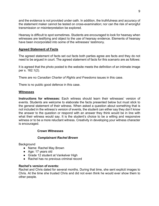and the evidence is not provided under oath. In addition, the truthfulness and accuracy of the statement maker cannot be tested on cross-examination; nor can the risk of wrongful transmission or misinterpretation be explored.

Hearsay is difficult to spot sometimes. Students are encouraged to look for hearsay when witnesses are testifying and object to the use of hearsay evidence. Elements of hearsay have been incorporated into some of the witnesses' testimony.

# **Agreed Statement of Facts**

The agreed statement of facts set out facts both parties agree are facts and they do not need to be argued in court. The agreed statement of facts for this scenario are as follows:

It is agreed that the photo posted to the website meets the definition of an intimate image per s. 162.1(2).

There are no *Canadian Charter of Rights and Freedoms* issues in this case.

There is no public good defence in this case.

## **Witnesses**

**Instructions for witnesses:** Each witness should learn their witnesses' version of events. Students are welcome to elaborate the facts presented below but must stick to the general statement of their witness. When asked a question about something that is not included in the witness's version of events, the student can either say they don't know the answer to the question or respond with an answer they think would be in line with what their witness would say. It is the student's choice to be a willing and responsive witness or to be a more reluctant witness. Creativity in developing your witness character is encouraged.

# **Crown Witnesses**

## *Complainant Rachel Brown*

**Background** 

- Name: Rachel May Brown
- Age: 17 years old
- Grade 12 student at Vankelver High
- Rachel has no previous criminal record

## **Rachel's version of events:**

Rachel and Chris dated for several months. During that time, she sent explicit images to Chris. At the time she trusted Chris and did not even think he would ever show them to other people.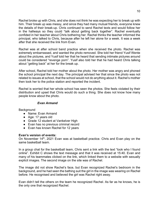Rachel broke up with Chris, and she does not think he was expecting her to break up with him. Their break up was messy, and since they had many mutual friends, everyone knew the details of their break-up. Chris continued to send Rachel texts and would follow her in the hallways so they could "talk about getting back together". Rachel eventually confided in her teacher about Chris bothering her. Rachel thinks the teacher informed the principal, who talked to Chris, because after he left her alone for a week. It was a week after that she received the link from Evan.

Rachel was at after school band practice when she received the photo. Rachel was extremely embarrassed, and wanted the photo removed. She told her friend Yusif Wente about the pictures, and Yusif told her that he heard that sending intimate pictures around could be considered "revenge porn". Yusif also told her that he had heard Chris talking about "getting back" at her for the break up.

After school, Rachel told her mother about the photo. Her mother was angry and phoned the school principal the next day. The principal advised her that since the photo was not related to issues at school, that the school would not do anything about it. Rachel's mother then took her to the police station and reported the incident.

Rachel is worried that her whole school has seen the photos. She feels violated by their distribution and upset that Chris would do such a thing. She does not know how many people know about the photo.

# *Evan Armand*

**Background** 

- Name: Evan Armand
- Age: 17 years old
- Grade 12 student at Vankelver High
- Evan has no previous criminal record
- Evan has known Rachel for 12 years

## **Evan's version of events:**

On November 14<sup>th</sup>, 2021 Evan was at basketball practice. Chris and Evan play on the same basketball team.

In a group chat for the basketball team, Chris sent a link with the text "look who I found online". Exhibit C shows the text message and that it was received at 15:40. Evan and many of his teammates clicked on the link, which linked them to a website with sexually explicit images. The second image on the site was of Rachel.

The image did not show Rachel's face, but Evan recognized Rachel's bedroom in the background, and he had seen the bathing suit the girl in the image was wearing on Rachel before. He recognised and believed the girl was Rachel right away.

Evan didn't tell the others on the team he recognized Rachel. As far as he knows, he is the only one that recognized Rachel.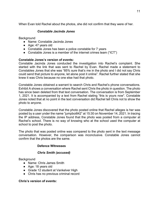When Evan told Rachel about the photos, she did not confirm that they were of her.

# *Constable Jacinda Jones*

Background

- Name: Constable Jacinda Jones
- Age: 47 years old
- Constable Jones has been a police constable for 7 years
- Constable Jones is a member of the internet crimes team ("ICT")

# **Constable Jones's version of events:**

Constable Jacinda Jones conducted the investigation into Rachel's complaint. She started with the link that was sent to Rachel by Evan. Rachel made a statement to Constables Jones that she was "85% sure that's me in the photo and I did not say Chris could send that picture to anyone, let alone post it online". Rachel further stated that she knew it was Chris because no one else had that photo.

Constable Jones obtained a warrant to search Chris and Rachel's phone conversations. Exhibit A shows a conversation where Rachel sent Chris the photo in question. The photo has since been deleted from that text conversation. The conversation is from September 1, 2021. It is accompanied by a text from Rachel stating "this is yours now". Constable Jones noted that at no point in the text conversation did Rachel tell Chris not to show the photo to anyone.

Constable Jones discovered that the photo posted online that Rachel alleges is her was posted by a user under the name "jumpboi842" at 15:30 on November 14, 2021. In tracing the IP address, Constable Jones found that the photo was posted from a computer at Rachel's school. There is no way of knowing who at the school used the computer at school to post the photo.

The photo that was posted online was compared to the photo sent in the text message conversation. However, the comparison was inconclusive. Constable Jones cannot confirm that the photos are the same.

# **Defence Witnesses**

# *Chris Smith (accused)*

**Background** 

- Name: Chris James Smith
- Age: 18 years old
- Grade 12 student at Vankelver High
- Chris has no previous criminal record

## **Chris's version of events:**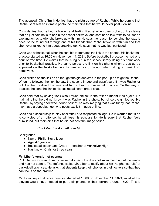The accused, Chris Smith denies that the pictures are of Rachel. While he admits that Rachel sent him an intimate photo, he maintains that he would never post it online.

Chris denies that he kept following and texting Rachel when they broke up. He claims that he just said hello to her in the school hallways, and sent her a few texts to ask for an explanation as to why she broke up with him. He says the reason for sending the texts is because he found out through one of his friends that Rachel broke up with him and that she never talked to him about breaking up. He says that he was just confused.

Chris was at basketball when he sent his teammates the link to the photos. His basketball practice started at 16:00 on November 14, 2021. Before basketball practice, he had one hour of free time. He claims that he hung out in the school library doing his homework prior to basketball practice. He came across the link on his phone when a pop-up ad appeared on the basketball site he was scrolling through when taking a break from homework.

Chris clicked on the link as he thought the girl depicted in the pop-up ad might be Rachel. When he followed the link, he saw the second image and wasn't sure if it was Rachel or not. He then realized the time and had to head to basketball practice. On the way to practice, he sent the link to his basketball team group chat.

Chris said that by saying "look who I found online" in the text he meant it as a joke. He maintains that he did not know it was Rachel in the photo, but since the girl looked like Rachel, by saying "look who I found online", he was implying that it was funny that Rachel may have a doppelganger who posts explicit images online.

Chris has a scholarship to play basketball at a respected college. He is worried that if he is convicted of an offence, he will lose his scholarship. He is sorry that Rachel feels humiliated, but maintains that he did not post the image online.

# *Phil Liber (basketball coach)*

**Background** 

- Name: Phillip Steve Liber
- Age: 47 years old
- Basketball coach and Grade 11 teacher at Vankelver High
- Has known Chris for three years

## **Mr. Liber's version of events:**

Phil Liber is Chris and Evan's basketball coach. He does not know much about the image and has not seen it. The defence called Mr. Liber to testify about his "no phones rule" at basketball practices. He asks that students keep their phones in their lockers so that they can focus on the practice.

Mr. Liber says that since practice started at 16:00 on November 14, 2021, most of the players would have needed to put their phones in their lockers around 15:20. This is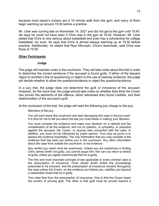because most player's lockers are a 10 minute walk from the gym, and many of them begin warming up around 15:30 before a practice.

Mr. Liber was running late on November 14, 2021 and did not get to the gym until 15:45. He says he could not have seen if Chris was in the gym at 15:30. However, Mr. Liber stated that Chris is very serious about basketball and even has a scholarship for college basketball. As such, he says that Chris is almost always warming up at 15:30 before practice. Additionally, he stated that Raul Mercado, Chris's teammate, said Chris was there at 15:30.

## **Other Participants**

## **Judge**

The judge will maintain order in the courtroom. They will take notes about the trial in order to determine the correct sentence if the accused is found guilty. If either of the lawyers object to another's line of questioning or object to the use of hearsay evidence, the judge will decide whether to allow the question/evidence or reject the question/evidence.

In a jury trial, the judge does not determine the guilt or innocence of the accused. However, for the mock trial, the judge should take notes on whether they think the Crown has proven the elements of the offence, which witnesses they found credible, and their determination of the accused's guilt.

At the conclusion of the trial, the judge will read the following jury charge to the jury:

Members of the jury,

You will soon leave this courtroom and start discussing this case in the jury room. It is time for me to tell you about the law you must follow in making your decision.

You must consider the evidence and make your decision on a rational and fair consideration of all the evidence, and not on passion, or sympathy, or prejudice against the accused, the Crown, or anyone else connected with the case. In addition, you must not be influenced by public opinion. Your duty as jurors is to assess the evidence impartially. The only information that you may consider is the evidence that has been put before you in the courtroom. Any other information about the case from outside the courtroom, is not evidence

Any verdict you reach must be unanimous. Unless you are unanimous in finding Chris James Smith not guilty, you cannot acquit him. Nor can you return a verdict of guilty unless you agree unanimously that he is guilty.

The first and most important principle of law applicable to every criminal case is the presumption of innocence. Chris James Smith enters the proceedings presumed to be innocent, and the presumption of innocence remains throughout the case unless the Crown, on the evidence put before you, satisfies you beyond a reasonable doubt that he is guilty.

Two rules flow from the presumption of innocence. One is that the Crown bears the burden of proving guilt. The other is that guilt must be proved beyond a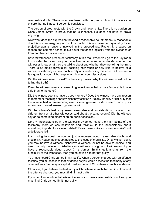reasonable doubt. These rules are linked with the presumption of innocence to ensure that no innocent person is convicted.

The burden of proof rests with the Crown and never shifts. There is no burden on Chris James Smith to prove that he is innocent. He does not have to prove anything.

Now what does the expression "beyond a reasonable doubt" mean? A reasonable doubt is not an imaginary or frivolous doubt. It is not based on sympathy for or prejudice against anyone involved in the proceedings. Rather, it is based on reason and common sense. It is a doubt that arises logically from the evidence or from an absence of evidence.

Several witnesses presented testimony in this trial. When you go to the jury room to consider the case, use your collective common sense to decide whether the witnesses know what they are talking about and whether they are telling the truth. There is no magic formula for deciding how much or how little to believe of a witness's testimony or how much to rely on it in deciding this case. But here are a few questions you might keep in mind during your discussions.

Did the witness seem honest? Is there any reason why the witness would not be telling the truth?

Does the witness have any reason to give evidence that is more favourable to one side than to the other?

Did the witness seem to have a good memory? Does the witness have any reason to remember the things about which they testified? Did any inability or difficulty that the witness had in remembering events seem genuine, or did it seem made up as an excuse to avoid answering questions?

Did the witness's testimony seem reasonable and consistent? Is it similar to or different from what other witnesses said about the same events? Did the witness say or do something different on an earlier occasion?

Do any inconsistencies in the witness's evidence make the main points of the testimony more or less believable and reliable? Is the inconsistency about something important, or a minor detail? Does it seem like an honest mistake? Is it a deliberate lie?

I am going to speak to you for just a moment about reasonable doubt and credibility. Reasonable doubt applies to the issue of credibility. On any given point, you may believe a witness, disbelieve a witness, or not be able to decide. You need not fully believe or disbelieve one witness or a group of witnesses. If you have a reasonable doubt about Chris James Smith's guilt arising from the credibility of the witnesses, then you must find him/her not guilty.

You have heard Chris James Smith testify. When a person charged with an offence testifies, you must assess that evidence as you would assess the testimony of any other witness. You may accept all, part, or none of Chris James Smith's evidence.

Of course, if you believe the testimony of Chris James Smith that he did not commit the offence charged, you must find him not guilty.

If you don't know whom to believe, it means you have a reasonable doubt and you must find Chris James Smith not guilty.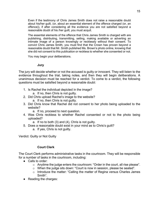Even if the testimony of Chris James Smith does not raise a reasonable doubt about his/her guilt, (or, about an essential element of the offence charged (or, an offence)), if after considering all the evidence you are not satisfied beyond a reasonable doubt of his /her guilt, you must acquit.

The essential elements of the offence that Chris James Smith is charged with are publishing, distributing, transmitting, selling, making available or adverting an intimate image of a person knowingly or recklessly without their consent. To convict Chris James Smith, you must find that the Crown has proven beyond a reasonable doubt that Mr. Smith published Ms. Brown's photo online, knowing that she did not consent to this publication or reckless to whether she consented or not.

You may begin your deliberations.

## **Jury**

The jury will decide whether or not the accused is guilty or innocent. They will listen to the evidence throughout the trial, taking notes, and then they will begin deliberations. A unanimous decision must be reached for a verdict. To come to a verdict, the following questions must be satisfied beyond a reasonable doubt:

- 1. Is Rachel the individual depicted in the image?
	- a. If no, then Chris is not guilty.
- 2. Did Chris upload Rachel's image to the website?
	- a. If no, then Chris is not guilty.
- 3. Did Chris know that Rachel did not consent to her photo being uploaded to the website?
	- a. If no, proceed to next question.
- 4. Was Chris reckless to whether Rachel consented or not to the photo being uploaded?
	- a. If no to both (3) and (4), Chris is not guilty.
- 5. Does a reasonable doubt exist in your mind as to Chris's guilt?
	- a. If yes, Chris is not guilty.

Verdict: Guilty or Not Guilty

# **Court Clerk**

The Court Clerk performs administrative tasks in the courtroom. They will be responsible for a number of tasks in the courtroom, including:

- Calls to order:
	- o Anytime the judge enters the courtroom: "Order in the court, all rise please".
	- o When the judge sits down: "Court is now in session, please be seated".
	- o Introduce the matter: "Calling the matter of Regina versus Charles James Smith".
- Reading the charges: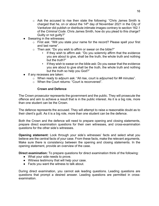- $\circ$  Ask the accused to rise then state the following: "Chris James Smith is charged that he, on or about the  $14<sup>th</sup>$  day of November 2021 in the City of Vankelver did publish or distribute intimate images contrary to section 162.1 of the *Criminal Code*. Chris James Smith, how do you plead to this charge? Guilty or not guilty?"
- Swearing in the witnesses:
	- o First ask: "Will you state your name for the record? Please spell your first and last name".
	- o Then ask: "Do you wish to affirm or swear on the bible?"
		- If they wish to affirm ask: "Do you solemnly affirm that the evidence you are about to give, shall be the truth, the whole truth and nothing but the truth?"
		- If they wish to swear on the bible ask: Do you swear that the evidence you are about to give shall be the truth, the whole truth and nothing but the truth so help you God?"
- If any recesses are taken:
	- $\circ$  When ready to adjourn ask: "All rise, court is adjourned for ## minutes".
	- o When the Court returns: "Court is reconvened".

# **Crown and Defence**

The Crown prosecutor represents the government and the public. They will prosecute the offence and aim to achieve a result that is in the public interest. As it is a big role, more than one student can be the Crown.

The defence represents the accused. They will attempt to raise a reasonable doubt as to their client's guilt. As it is a big role, more than one student can be the defence.

Both the Crown and the defence will need to prepare opening and closing statements, prepare direct examination questions for their own witnesses, and cross-examination questions for the other side's witnesses.

**Opening statement:** Look through your side's witnesses' facts and select what you believe are the central facts of your case. From these facts, make the relevant arguments. Make sure there is consistency between the opening and closing statements. In the opening statement, provide an overview of the case.

**Direct examination:** To prepare questions for direct examination think of the following:

- What your side needs to prove.
- Witness testimony that will help your case.
- Facts you want the witness to talk about.

During direct examination, you cannot ask leading questions. Leading questions are questions that prompt a desired answer. Leading questions are permitted in crossexamination.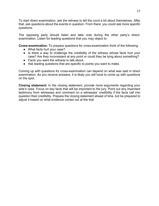To start direct examination, ask the witness to tell the court a bit about themselves. After that, ask questions about the events in question. From there, you could ask more specific questions.

The opposing party should listen and take note during the other party's directexamination. Listen for leading questions that you may object to.

**Cross-examination:** To prepare questions for cross-examination think of the following:

- What facts hurt your case?
- Is there a way to challenge the credibility of the witness whose facts hurt your case? Are they inconsistent at any point or could they be lying about something?
- Facts you want the witness to talk about.
- Ask leading questions that are specific to points you want to make.

Coming up with questions for cross-examination can depend on what was said in direct examination. As you receive answers, it is likely you will have to come up with questions on the spot.

**Closing statement:** In the closing statement, provide more arguments regarding your side's case. Focus on key facts that will be important to the jury. Point out any important testimony from witnesses and comment on a witnesses' credibility if the facts call into question their credibility. Prepare the closing statement ahead of time, but be prepared to adjust it based on what evidence comes out at the trial.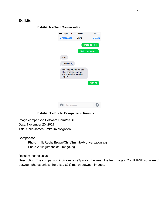# **Exhibits**

| 00000 Sprint LTE                                                                       | 5:16 PM      | $3%$ [              |
|----------------------------------------------------------------------------------------|--------------|---------------------|
| <b>くMessages</b>                                                                       | <b>Chris</b> | <b>Details</b>      |
|                                                                                        |              | [photo deleted]     |
|                                                                                        |              | this is yours now;) |
| <b>WOW</b>                                                                             |              |                     |
| I'm so lucky                                                                           |              |                     |
| hey I'm going to be late<br>after practice, can we<br>study together another<br>night? |              |                     |
|                                                                                        |              | Yeah np             |
|                                                                                        |              |                     |
|                                                                                        |              |                     |
|                                                                                        |              |                     |
|                                                                                        |              |                     |

# **Exhibit A – Text Conversation**

# **Exhibit B – Photo Comparison Results**

Image comparison Software ComIMAGE Date: November 20, 2021 Title: Chris James Smith Investigation

Comparison:

 Photo 1: fileRachelBrown/ChrisSmithtextconversation.jpg Photo 2: file jumpboi842image.jpg

Results: inconclusive

Description: The comparison indicates a 49% match between the two images. ComIMAGE software d between photos unless there is a 80% match between images.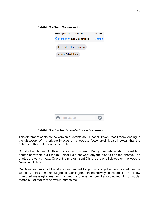| ●●●○○ Sprint LTE 3:40 PM         | 75% |
|----------------------------------|-----|
| K Messages KH Basketball Details |     |
| Look who I found online          |     |
| wwww.fakelink.ca                 |     |
|                                  |     |
|                                  |     |
|                                  |     |
|                                  |     |
|                                  |     |
|                                  |     |
|                                  |     |
|                                  |     |
|                                  |     |
|                                  |     |
| <b>Text Message</b>              |     |

#### **Exhibit C – Text Conversation**

#### **Exhibit D – Rachel Brown's Police Statement**

This statement contains the version of events as I, Rachel Brown, recall them leading to the discovery of my private images on a website "www.fakelink.ca". I swear that the entirety of this statement is the truth.

Christopher James Smith is my former boyfriend. During our relationship, I sent him photos of myself, but I made it clear I did not want anyone else to see the photos. The photos are very private. One of the photos I sent Chris is the one I viewed on the website "www.fakelink.ca".

Our break-up was not friendly. Chris wanted to get back together, and sometimes he would try to talk to me about getting back together in the hallways at school. I do not know if he tried messaging me, as I blocked his phone number. I also blocked him on social media out of fear that he would harass me.